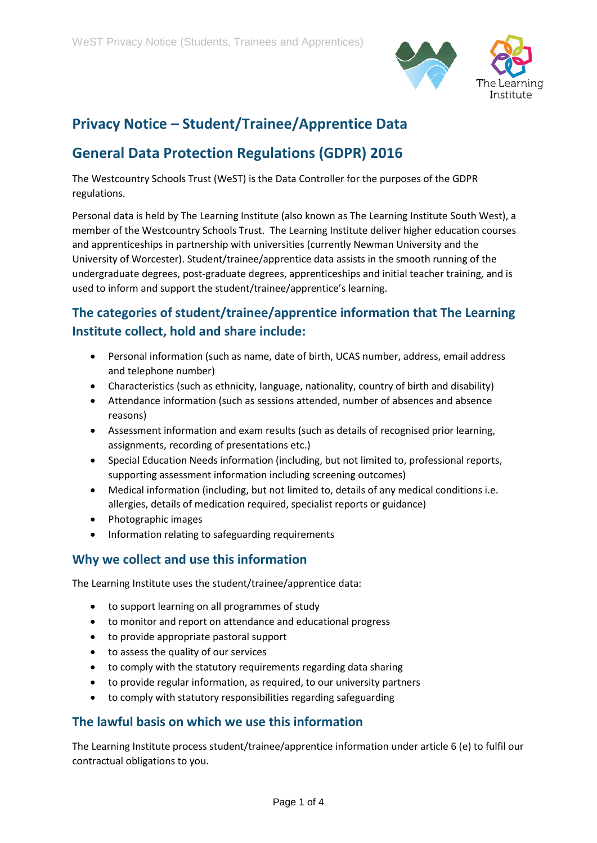

# **Privacy Notice – Student/Trainee/Apprentice Data**

## **General Data Protection Regulations (GDPR) 2016**

The Westcountry Schools Trust (WeST) is the Data Controller for the purposes of the GDPR regulations.

Personal data is held by The Learning Institute (also known as The Learning Institute South West), a member of the Westcountry Schools Trust. The Learning Institute deliver higher education courses and apprenticeships in partnership with universities (currently Newman University and the University of Worcester). Student/trainee/apprentice data assists in the smooth running of the undergraduate degrees, post-graduate degrees, apprenticeships and initial teacher training, and is used to inform and support the student/trainee/apprentice's learning.

## **The categories of student/trainee/apprentice information that The Learning Institute collect, hold and share include:**

- Personal information (such as name, date of birth, UCAS number, address, email address and telephone number)
- Characteristics (such as ethnicity, language, nationality, country of birth and disability)
- Attendance information (such as sessions attended, number of absences and absence reasons)
- Assessment information and exam results (such as details of recognised prior learning, assignments, recording of presentations etc.)
- Special Education Needs information (including, but not limited to, professional reports, supporting assessment information including screening outcomes)
- Medical information (including, but not limited to, details of any medical conditions i.e. allergies, details of medication required, specialist reports or guidance)
- Photographic images
- Information relating to safeguarding requirements

#### **Why we collect and use this information**

The Learning Institute uses the student/trainee/apprentice data:

- to support learning on all programmes of study
- to monitor and report on attendance and educational progress
- to provide appropriate pastoral support
- to assess the quality of our services
- to comply with the statutory requirements regarding data sharing
- to provide regular information, as required, to our university partners
- to comply with statutory responsibilities regarding safeguarding

#### **The lawful basis on which we use this information**

The Learning Institute process student/trainee/apprentice information under article 6 (e) to fulfil our contractual obligations to you.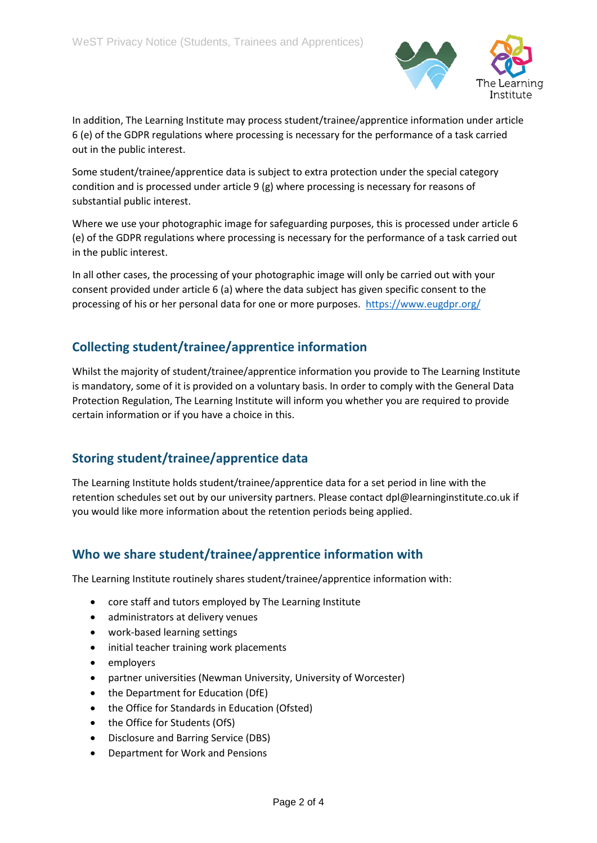

In addition, The Learning Institute may process student/trainee/apprentice information under article 6 (e) of the GDPR regulations where processing is necessary for the performance of a task carried out in the public interest.

Some student/trainee/apprentice data is subject to extra protection under the special category condition and is processed under article 9 (g) where processing is necessary for reasons of substantial public interest.

Where we use your photographic image for safeguarding purposes, this is processed under article 6 (e) of the GDPR regulations where processing is necessary for the performance of a task carried out in the public interest.

In all other cases, the processing of your photographic image will only be carried out with your consent provided under article 6 (a) where the data subject has given specific consent to the processing of his or her personal data for one or more purposes.<https://www.eugdpr.org/>

## **Collecting student/trainee/apprentice information**

Whilst the majority of student/trainee/apprentice information you provide to The Learning Institute is mandatory, some of it is provided on a voluntary basis. In order to comply with the General Data Protection Regulation, The Learning Institute will inform you whether you are required to provide certain information or if you have a choice in this.

## **Storing student/trainee/apprentice data**

The Learning Institute holds student/trainee/apprentice data for a set period in line with the retention schedules set out by our university partners. Please contact dpl@learninginstitute.co.uk if you would like more information about the retention periods being applied.

## **Who we share student/trainee/apprentice information with**

The Learning Institute routinely shares student/trainee/apprentice information with:

- core staff and tutors employed by The Learning Institute
- administrators at delivery venues
- work-based learning settings
- initial teacher training work placements
- employers
- partner universities (Newman University, University of Worcester)
- the Department for Education (DfE)
- the Office for Standards in Education (Ofsted)
- the Office for Students (OfS)
- Disclosure and Barring Service (DBS)
- Department for Work and Pensions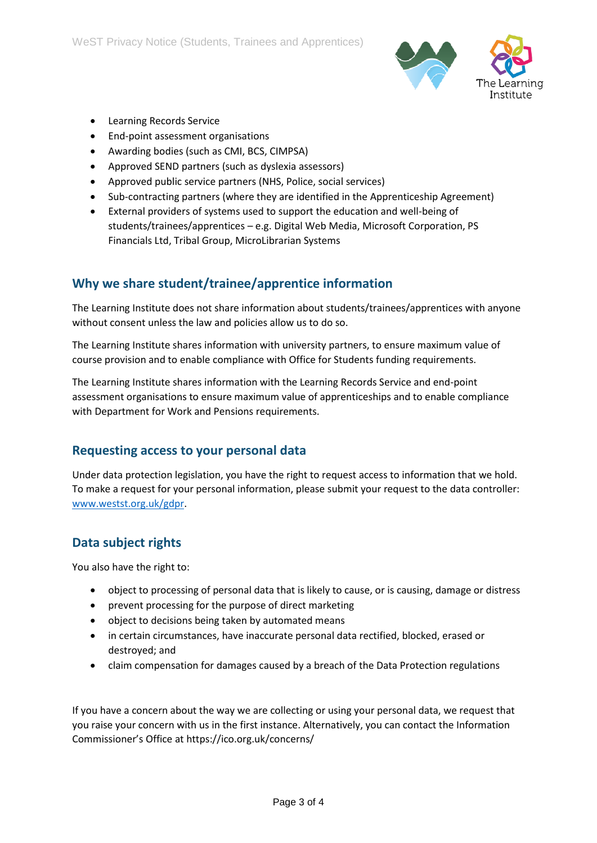

- Learning Records Service
- End-point assessment organisations
- Awarding bodies (such as CMI, BCS, CIMPSA)
- Approved SEND partners (such as dyslexia assessors)
- Approved public service partners (NHS, Police, social services)
- Sub-contracting partners (where they are identified in the Apprenticeship Agreement)
- External providers of systems used to support the education and well-being of students/trainees/apprentices – e.g. Digital Web Media, Microsoft Corporation, PS Financials Ltd, Tribal Group, MicroLibrarian Systems

#### **Why we share student/trainee/apprentice information**

The Learning Institute does not share information about students/trainees/apprentices with anyone without consent unless the law and policies allow us to do so.

The Learning Institute shares information with university partners, to ensure maximum value of course provision and to enable compliance with Office for Students funding requirements.

The Learning Institute shares information with the Learning Records Service and end-point assessment organisations to ensure maximum value of apprenticeships and to enable compliance with Department for Work and Pensions requirements.

#### **Requesting access to your personal data**

Under data protection legislation, you have the right to request access to information that we hold. To make a request for your personal information, please submit your request to the data controller: [www.westst.org.uk/gdpr.](http://www.westst.org.uk/gdpr)

#### **Data subject rights**

You also have the right to:

- object to processing of personal data that is likely to cause, or is causing, damage or distress
- prevent processing for the purpose of direct marketing
- object to decisions being taken by automated means
- in certain circumstances, have inaccurate personal data rectified, blocked, erased or destroyed; and
- claim compensation for damages caused by a breach of the Data Protection regulations

If you have a concern about the way we are collecting or using your personal data, we request that you raise your concern with us in the first instance. Alternatively, you can contact the Information Commissioner's Office at https://ico.org.uk/concerns/